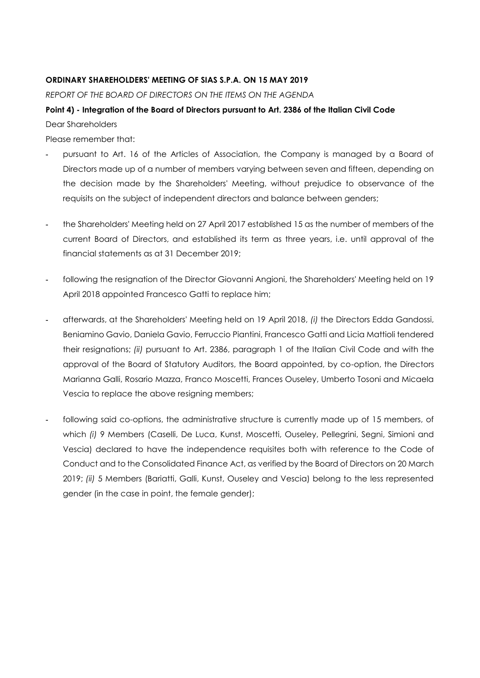## **ORDINARY SHAREHOLDERS' MEETING OF SIAS S.P.A. ON 15 MAY 2019**

*REPORT OF THE BOARD OF DIRECTORS ON THE ITEMS ON THE AGENDA*

## **Point 4) - Integration of the Board of Directors pursuant to Art. 2386 of the Italian Civil Code** Dear Shareholders

Please remember that:

- **-** pursuant to Art. 16 of the Articles of Association, the Company is managed by a Board of Directors made up of a number of members varying between seven and fifteen, depending on the decision made by the Shareholders' Meeting, without prejudice to observance of the requisits on the subject of independent directors and balance between genders;
- **-** the Shareholders' Meeting held on 27 April 2017 established 15 as the number of members of the current Board of Directors, and established its term as three years, i.e. until approval of the financial statements as at 31 December 2019;
- **-** following the resignation of the Director Giovanni Angioni, the Shareholders' Meeting held on 19 April 2018 appointed Francesco Gatti to replace him;
- **-** afterwards, at the Shareholders' Meeting held on 19 April 2018, *(i)* the Directors Edda Gandossi, Beniamino Gavio, Daniela Gavio, Ferruccio Piantini, Francesco Gatti and Licia Mattioli tendered their resignations; *(ii)* pursuant to Art. 2386, paragraph 1 of the Italian Civil Code and with the approval of the Board of Statutory Auditors, the Board appointed, by co-option, the Directors Marianna Galli, Rosario Mazza, Franco Moscetti, Frances Ouseley, Umberto Tosoni and Micaela Vescia to replace the above resigning members;
- **-** following said co-options, the administrative structure is currently made up of 15 members, of which *(i)* 9 Members (Caselli, De Luca, Kunst, Moscetti, Ouseley, Pellegrini, Segni, Simioni and Vescia) declared to have the independence requisites both with reference to the Code of Conduct and to the Consolidated Finance Act, as verified by the Board of Directors on 20 March 2019; *(ii)* 5 Members (Bariatti, Galli, Kunst, Ouseley and Vescia) belong to the less represented gender (in the case in point, the female gender);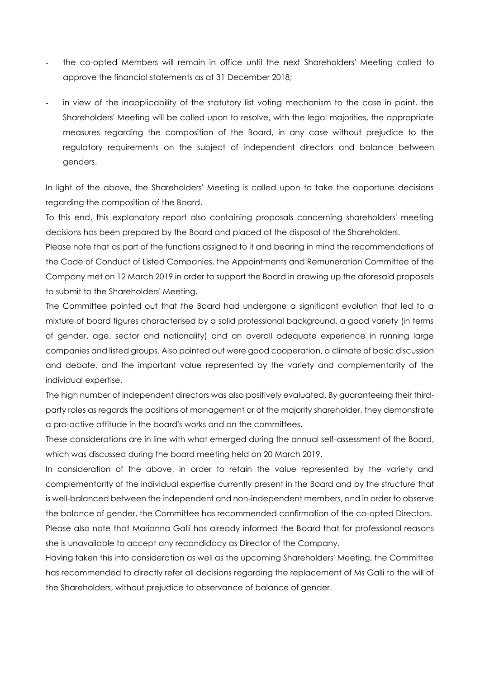- **-** the co-opted Members will remain in office until the next Shareholders' Meeting called to approve the financial statements as at 31 December 2018;
- **-** in view of the inapplicability of the statutory list voting mechanism to the case in point, the Shareholders' Meeting will be called upon to resolve, with the legal majorities, the appropriate measures regarding the composition of the Board, in any case without prejudice to the regulatory requirements on the subject of independent directors and balance between genders.

In light of the above, the Shareholders' Meeting is called upon to take the opportune decisions regarding the composition of the Board.

To this end, this explanatory report also containing proposals concerning shareholders' meeting decisions has been prepared by the Board and placed at the disposal of the Shareholders.

Please note that as part of the functions assigned to it and bearing in mind the recommendations of the Code of Conduct of Listed Companies, the Appointments and Remuneration Committee of the Company met on 12 March 2019 in order to support the Board in drawing up the aforesaid proposals to submit to the Shareholders' Meeting.

The Committee pointed out that the Board had undergone a significant evolution that led to a mixture of board figures characterised by a solid professional background, a good variety (in terms of gender, age, sector and nationality) and an overall adequate experience in running large companies and listed groups. Also pointed out were good cooperation, a climate of basic discussion and debate, and the important value represented by the variety and complementarity of the individual expertise.

The high number of independent directors was also positively evaluated. By guaranteeing their thirdparty roles as regards the positions of management or of the majority shareholder, they demonstrate a pro-active attitude in the board's works and on the committees.

These considerations are in line with what emerged during the annual self-assessment of the Board, which was discussed during the board meeting held on 20 March 2019.

In consideration of the above, in order to retain the value represented by the variety and complementarity of the individual expertise currently present in the Board and by the structure that is well-balanced between the independent and non-independent members, and in order to observe the balance of gender, the Committee has recommended confirmation of the co-opted Directors.

Please also note that Marianna Galli has already informed the Board that for professional reasons she is unavailable to accept any recandidacy as Director of the Company.

Having taken this into consideration as well as the upcoming Shareholders' Meeting, the Committee has recommended to directly refer all decisions regarding the replacement of Ms Galli to the will of the Shareholders, without prejudice to observance of balance of gender.